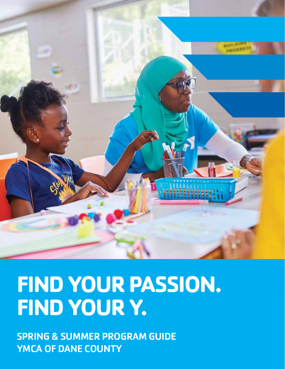

# **FIND YOUR PASSION. FIND YOUR Y.**

SPRING & SUMMER PROGRAM GUIDE YMCA OF DANE COUNTY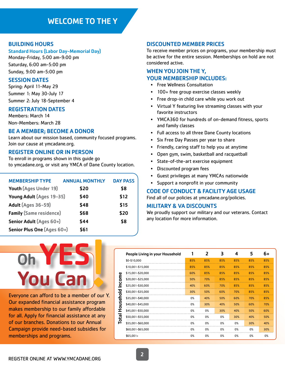# WELCOME TO THE Y

# BUILDING HOURS

#### Standard Hours (Labor Day-Memorial Day)

Monday-Friday, 5:00 am-9:00 pm Saturday, 6:00 am-5:00 pm Sunday, 9:00 am-5:00 pm

#### SESSION DATES

Spring: April 11-May 29 Summer 1: May 30-July 17 Summer 2: July 18-September 4

# REGISTRATION DATES

Members: March 14 Non-Members: March 28

#### BE A MEMBER; BECOME A DONOR

Learn about our mission based, community focused programs. Join our cause at ymcadane.org.

# REGISTER ONLINE OR IN PERSON

To enroll in programs shown in this guide go to ymcadane.org, or visit any YMCA of Dane County location.

| <b>MEMBERSHIP TYPE</b>         | <b>ANNUAL MONTHLY</b> | <b>DAY PASS</b> |
|--------------------------------|-----------------------|-----------------|
| Youth (Ages Under 19)          | \$20                  | \$8             |
| Young Adult (Ages 19-35)       | \$40                  | \$12            |
| Adult (Ages 36-59)             | \$48                  | \$15            |
| <b>Family (Same residence)</b> | \$68                  | \$20            |
| Senior Adult (Ages 60+)        | \$44                  | \$8             |
| Senior Plus One (Ages 60+)     | \$61                  |                 |

### DISCOUNTED MEMBER PRICES

To receive member prices on programs, your membership must be active for the entire session. Memberships on hold are not considered active.

# WHEN YOU JOIN THE Y, YOUR MEMBERSHIP INCLUDES:

- Free Wellness Consultation
- 100+ free group exercise classes weekly
- Free drop-in child care while you work out
- Virtual Y featuring live streaming classes with your favorite instructors
- YMCA360 for hundreds of on-demand fitness, sports and family classes
- Full access to all three Dane County locations
- Six Free Day Passes per year to share
- Friendly, caring staff to help you at anytime
- Open gym, swim, basketball and racquetball
- State-of-the-art exercise equipment
- Discounted program fees
- Guest privileges at many YMCAs nationwide
- Support a nonprofit in your community

#### CODE OF CONDUCT & FACILITY AGE USAGE

Find all of our policies at ymcadane.org/policies.

### MILITARY & VA DISCOUNTS

We proudly support our military and our veterans. Contact any location for more information.



Everyone can afford to be a member of our Y. Our expanded financial assistance program makes membership to our family affordable for all. Apply for financial assistance at any of our branches. Donations to our Annual Campaign provide need-based subsidies for memberships and programs.

|         | People Living in your Household |     | 2   | 3   | 4   | 5   | 6+  |
|---------|---------------------------------|-----|-----|-----|-----|-----|-----|
|         | \$0-\$10,000                    | 85% | 85% | 85% | 85% | 85% | 85% |
|         | \$10,001-\$15,000               | 85% | 85% | 85% | 85% | 85% | 85% |
| ω       | \$15,001-\$20,000               | 60% | 85% | 85% | 85% | 85% | 85% |
| Incom   | \$20,001-\$25,000               | 50% | 70% | 85% | 85% | 85% | 85% |
|         | \$25,001-\$30,000               | 40% | 60% | 70% | 85% | 85% | 85% |
|         | \$30,001-\$35,000               | 30% | 50% | 60% | 70% | 85% | 85% |
| usehold | \$35,001-\$40,000               | 0%  | 40% | 50% | 60% | 70% | 85% |
| ٥       | \$40,001-\$45,000               | 0%  | 30% | 40% | 50% | 60% | 70% |
| I       | \$45,001-\$50,000               | 0%  | 0%  | 30% | 40% | 50% | 60% |
| E,      | \$50,001-\$55,000               | 0%  | 0%  | 0%  | 30% | 40% | 50% |
| ۹       | \$55,001-\$60,000               | 0%  | 0%  | 0%  | 0%  | 30% | 40% |
|         | \$60,001-\$65,000               | 0%  | 0%  | 0%  | 0%  | 0%  | 30% |
|         | $$65,001+$                      | 0%  | 0%  | 0%  | 0%  | 0%  | 0%  |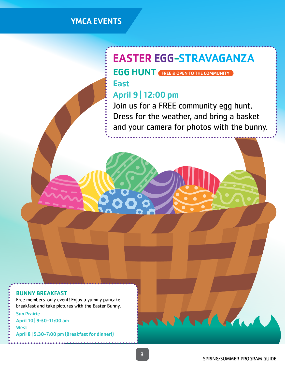# YMCA EVENTS

# EASTER EGG-STRAVAGANZA

# EGG HUNT (FREE & OPEN TO THE COMMUNITY)

East

# April 9 | 12:00 pm

Join us for a FREE community egg hunt. Dress for the weather, and bring a basket and your camera for photos with the bunny.

#### BUNNY BREAKFAST

Free members-only event! Enjoy a yummy pancake breakfast and take pictures with the Easter Bunny. Sun Prairie April 10 | 9:30-11:00 am **West** April 8 | 5:30-7:00 pm (Breakfast for dinner!)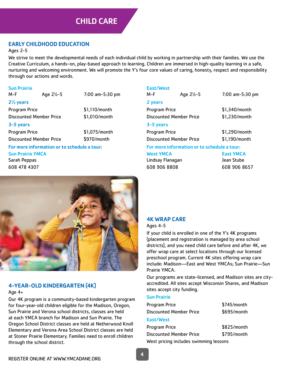# EARLY CHILDHOOD EDUCATION

#### Ages 2-5

We strive to meet the developmental needs of each individual child by working in partnership with their families. We use the Creative Curriculum, a hands-on, play-based approach to learning. Children are immersed in high-quality learning in a safe, nurturing and welcoming environment. We will promote the Y's four core values of caring, honesty, respect and responsibility through our actions and words.

#### Sun Prairie

M-F Age 2½-5 7:00 am-5:30 pm 2½ years Program Price \$1,110/month Discounted Member Price \$1,010/month 3-5 years Program Price \$1,075/month Discounted Member Price \$970/month

# For more information or to schedule a tour:

Sun Prairie YMCA

Sarah Peppas 608 478 4307

| East/West<br>M-F                            | Age $2\frac{1}{2}$ -5 | $7:00$ am $-5:30$ pm |  |
|---------------------------------------------|-----------------------|----------------------|--|
| 2 years                                     |                       |                      |  |
| Program Price                               |                       | \$1,340/month        |  |
| Discounted Member Price                     |                       | \$1,230/month        |  |
| 3-5 years                                   |                       |                      |  |
| <b>Program Price</b>                        |                       | \$1,290/month        |  |
| <b>Discounted Member Price</b>              |                       | \$1,190/month        |  |
| For more information or to schedule a tour: |                       |                      |  |

West YMCA East YMCA Lindsay Flanagan Jean Stube 608 906 8808 608 906 8657



# 4-YEAR-OLD KINDERGARTEN (4K)

# Age 4+

Our 4K program is a community-based kindergarten program for four-year-old children eligible for the Madison, Oregon, Sun Prairie and Verona school districts, classes are held at each YMCA branch for Madison and Sun Prairie. The Oregon School District classes are held at Netherwood Knoll Elementary and Verona Area School District classes are held at Stoner Prairie Elementary. Families need to enroll children through the school district.

# 4K WRAP CARE

Ages 4-5

If your child is enrolled in one of the Y's 4K programs (placement and registration is managed by area school districts), and you need child care before and after 4K, we offer wrap care at select locations through our licensed preschool program. Current 4K sites offering wrap care include: Madison—East and West YMCAs; Sun Prairie—Sun Prairie YMCA.

Our programs are state-licensed, and Madison sites are cityaccredited. All sites accept Wisconsin Shares, and Madison sites accept city funding.

#### Sun Prairie

| Program Price                          | \$745/month |
|----------------------------------------|-------------|
| <b>Discounted Member Price</b>         | \$695/month |
| East/West                              |             |
| Program Price                          | \$825/month |
| <b>Discounted Member Price</b>         | \$795/month |
| West pricing includes swimming lessons |             |

REGISTER ONLINE AT WWW.YMCADANE.ORG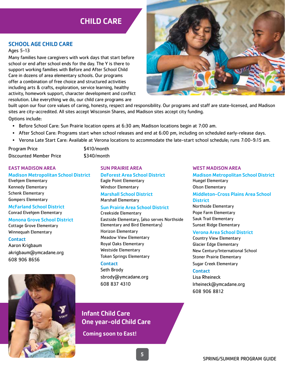# CHILD CARE

# SCHOOL AGE CHILD CARE

#### Ages 5-13

Many families have caregivers with work days that start before school or end after school ends for the day. The Y is there to support working families with Before and After School Child Care in dozens of area elementary schools. Our programs offer a combination of free choice and structured activities including arts & crafts, exploration, service learning, healthy activity, homework support, character development and conflict resolution. Like everything we do, our child care programs are



built upon our four core values of caring, honesty, respect and responsibility. Our programs and staff are state-licensed, and Madison sites are city-accredited. All sites accept Wisconsin Shares, and Madison sites accept city funding.

Options include:

- Before School Care: Sun Prairie location opens at 6:30 am; Madison locations begin at 7:00 am.
- After School Care: Programs start when school releases and end at 6:00 pm, including on scheduled early-release days.
- Verona Late Start Care: Available at Verona locations to accommodate the late-start school schedule; runs 7:00-9:15 am.

Program Price \$410/month Discounted Member Price \$340/month

#### EAST MADISON AREA

Madison Metropolitan School District Elvehjem Elementary Kennedy Elementary Schenk Elementary Gompers Elementary

#### McFarland School District Conrad Elvehjem Elementary

# Monona Grove School District

Cottage Grove Elementary Winnequah Elementary

#### **Contact**

Aaron Krigbaum akrigbaum@ymcadane.org 608 906 8656



#### SUN PRAIRIE AREA

DeForest Area School District Eagle Point Elementary Windsor Elementary

Marshall School District Marshall Elementary

# Sun Prairie Area School District

Creekside Elementary

Eastside Elementary, (also serves Northside Elementary and Bird Elementary) Horizon Elementary Meadow View Elementary Royal Oaks Elementary Westside Elementary Token Springs Elementary

#### **Contact**

Seth Brody sbrody@ymcadane.org 608 837 4310

# Infant Child Care One year-old Child Care

Coming soon to East!

#### WEST MADISON AREA

Madison Metropolitan School District Huegel Elementary Olson Elementary

Middleton-Cross Plains Area School **District** 

Northside Elementary Pope Farm Elementary Sauk Trail Elementary Sunset Ridge Elementary

#### Verona Area School District

Country View Elementary Glacier Edge Elementary New Century/International School Stoner Prairie Elementary Sugar Creek Elementary

#### **Contact**

Lisa Rheineck lrheineck@ymcadane.org 608 906 8812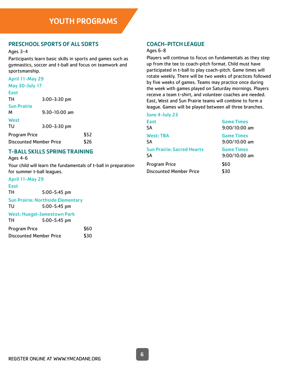# PRESCHOOL SPORTS OF ALL SORTS

#### Ages 3-4

Participants learn basic skills in sports and games such as gymnastics, soccer and t-ball and focus on teamwork and sportsmanship.

# April 11-May 29

| <b>May 30-July 17</b>          |      |  |  |  |
|--------------------------------|------|--|--|--|
|                                |      |  |  |  |
| $3:00 - 3:30$ pm               |      |  |  |  |
|                                |      |  |  |  |
| $9:30-10:00$ am                |      |  |  |  |
|                                |      |  |  |  |
| $3:00 - 3:30$ pm               |      |  |  |  |
|                                | \$52 |  |  |  |
| <b>Discounted Member Price</b> | \$26 |  |  |  |
|                                |      |  |  |  |

# T-BALL SKILLS SPRING TRAINING

Ages 4-6

Your child will learn the fundamentals of t-ball in preparation for summer t-ball leagues.

# April 11-May 29

| <b>East</b>             |                                          |      |
|-------------------------|------------------------------------------|------|
| TН                      | 5:00-5:45 pm                             |      |
|                         | <b>Sun Prairie: Northside Elementary</b> |      |
| TU                      | 5:00-5:45 pm                             |      |
|                         | <b>West: Huegel-Jamestown Park</b>       |      |
| TН                      | $5:00 - 5:45$ pm                         |      |
| <b>Program Price</b>    |                                          | \$60 |
| Discounted Member Price |                                          | \$٦0 |

# COACH-PITCH LEAGUE

#### Ages 6-8

Players will continue to focus on fundamentals as they step up from the tee to coach-pitch format. Child must have participated in t-ball to play coach-pitch. Game times will rotate weekly. There will be two weeks of practices followed by five weeks of games. Teams may practice once during the week with games played on Saturday mornings. Players receive a team t-shirt, and volunteer coaches are needed. East, West and Sun Prairie teams will combine to form a league. Games will be played between all three branches.

| June 4-July 23                    |                   |
|-----------------------------------|-------------------|
| <b>East</b>                       | <b>Game Times</b> |
| SA                                | $9:00/10:00$ am   |
| <b>West: TBA</b>                  | <b>Game Times</b> |
| SA                                | $9:00/10:00$ am   |
| <b>Sun Prairie: Sacred Hearts</b> | <b>Game Times</b> |
| SA                                | $9:00/10:00$ am   |
| Program Price                     | \$60              |
| <b>Discounted Member Price</b>    | \$30              |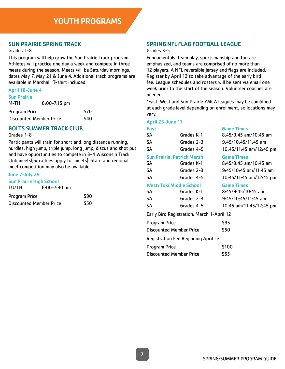# SUN PRAIRIE SPRING TRACK

#### Grades 1-8

This program will help grow the Sun Prairie Track program! Athletes will practice one day a week and compete in three meets during the season. Meets will be Saturday mornings; dates May 7, May 21 & June 4. Additional track programs are available in Marshall. T-shirt included.

#### April 18-June 4

|  |  | Sun Prairie |  |  |
|--|--|-------------|--|--|
|  |  |             |  |  |

| M-TH                           | $6:00 - 7:15$ pm |      |
|--------------------------------|------------------|------|
| Program Price                  |                  | \$70 |
| <b>Discounted Member Price</b> |                  | \$40 |

# BOLTS SUMMER TRACK CLUB

#### Grades 1-8

Participants will train for short and long distance running, hurdles, high jump, triple jump, long jump, discus and shot put and have opportunities to compete in 3-4 Wisconsin Track Club meets(extra fees apply for meets). State and regional meet competition may also be available.

#### June 7-July 29

| <b>Sun Prairie High School</b> |                  |      |  |
|--------------------------------|------------------|------|--|
| TU/TH                          | $6:00 - 7:30$ pm |      |  |
| <b>Program Price</b>           |                  | \$90 |  |
| <b>Discounted Member Price</b> |                  | \$50 |  |
|                                |                  |      |  |

# SPRING NFL FLAG FOOTBALL LEAGUE

#### Grades K-5

Fundamentals, team play, sportsmanship and fun are emphasized, and teams are comprised of no more than 12 players. A NFL reversible jersey and flags are included. Register by April 12 to take advantage of the early bird fee. League schedules and rosters will be sent via email one week prior to the start of the season. Volunteer coaches are needed.

\*East, West and Sun Prairie YMCA leagues may be combined at each grade level depending on enrollment, so locations may vary.

#### April 23-June 11

| <b>East</b> |                                            | <b>Game Times</b>        |
|-------------|--------------------------------------------|--------------------------|
| <b>SA</b>   | Grades K-1                                 | $8:45/9:45$ am/10:45 am  |
| <b>SA</b>   | Grades 2-3                                 | 9:45/10:45/11:45 am      |
| SA          | Grades 4-5                                 | 10:45/11:45 am/12:45 pm  |
|             | <b>Sun Prairie: Patrick Marsh</b>          | <b>Game Times</b>        |
| <b>SA</b>   | Grades K-1                                 | $8:45/9:45$ am/10:45 am  |
| <b>SA</b>   | Grades 2-3                                 | $9:45/10:45$ am/11:45 am |
| <b>SA</b>   | Grades 4-5                                 | 10:45/11:45 am/12:45 pm  |
|             | <b>West: Toki Middle School</b>            | <b>Game Times</b>        |
| <b>SA</b>   | Grades K-1                                 | $8:45/9:45/10:45$ am     |
| <b>SA</b>   | Grades 2-3                                 | $9:45/10:45/11:45$ am    |
| <b>SA</b>   | Grades 4-5                                 | 10:45 am/11:45/12:45 pm  |
|             | Early Dird Desistration, March 1, April 17 |                          |

#### Early Bird Registration: March 1-April 12

| <b>Program Price</b>                       | \$95  |
|--------------------------------------------|-------|
| <b>Discounted Member Price</b>             | \$50  |
| <b>Registration Fee Beginning April 13</b> |       |
| <b>Program Price</b>                       | \$100 |
| <b>Discounted Member Price</b>             | \$55  |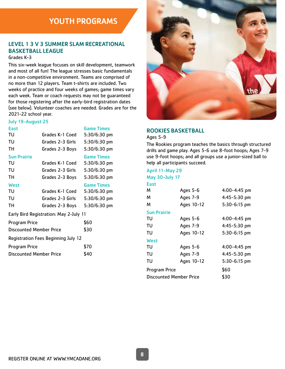# YOUTH PROGRAMS

# LEVEL 1 3 V 3 SUMMER SLAM RECREATIONAL BASKETBALL LEAGUE

### Grades K-3

This six-week league focuses on skill development, teamwork and most of all fun! The league stresses basic fundamentals in a non-competitive environment. Teams are comprised of no more than 12 players. Team t-shirts are included. Two weeks of practice and four weeks of games; game times vary each week. Team or coach requests may not be guaranteed for those registering after the early-bird registration dates (see below). Volunteer coaches are needed. Grades are for the 2021-22 school year.

#### July 19-August 25

| East                                   |                  | <b>Game Times</b> |  |
|----------------------------------------|------------------|-------------------|--|
| TU                                     | Grades K-1 Coed  | 5:30/6:30 pm      |  |
| TU                                     | Grades 2-3 Girls | 5:30/6:30 pm      |  |
| TН                                     | Grades 2-3 Boys  | 5:30/6:30 pm      |  |
| <b>Sun Prairie</b>                     |                  | <b>Game Times</b> |  |
| TU                                     | Grades K-1 Coed  | $5:30/6:30$ pm    |  |
| TU                                     | Grades 2-3 Girls | 5:30/6:30 pm      |  |
| TН                                     | Grades 2-3 Boys  | 5:30/6:30 pm      |  |
| West                                   |                  | <b>Game Times</b> |  |
| TU                                     | Grades K-1 Coed  | 5:30/6:30 pm      |  |
| TU                                     | Grades 2-3 Girls | 5:30/6:30 pm      |  |
| тн                                     | Grades 2-3 Boys  | 5:30/6:30 pm      |  |
| Early Bird Registration: May 2-July 11 |                  |                   |  |
| Program Price                          |                  | \$60              |  |

| \$30                                |
|-------------------------------------|
| Registration Fees Beginning July 12 |
| \$70                                |
| \$40                                |
|                                     |



# ROOKIES BASKETBALL

#### Ages 5-9

The Rookies program teaches the basics through structured drills and game play. Ages 5-6 use 8-foot hoops; Ages 7-9 use 9-foot hoops; and all groups use a junior-sized ball to help all participants succeed.

#### April 11-May 29 May 30-July 17

| <b>May 30-July 17</b>          |            |                  |  |
|--------------------------------|------------|------------------|--|
| East                           |            |                  |  |
| м                              | Ages 5-6   | $4:00 - 4:45$ pm |  |
| м                              | Ages 7-9   | $4:45 - 5:30$ pm |  |
| м                              | Ages 10-12 | $5:30-6:15$ pm   |  |
| <b>Sun Prairie</b>             |            |                  |  |
| TU                             | Ages 5-6   | $4:00 - 4:45$ pm |  |
| TU                             | Ages 7-9   | $4:45 - 5:30$ pm |  |
| TU                             | Ages 10-12 | 5:30-6:15 pm     |  |
| West                           |            |                  |  |
| TU                             | Ages 5-6   | $4:00 - 4:45$ pm |  |
| TU                             | Ages 7-9   | 4:45-5:30 pm     |  |
| TU                             | Ages 10-12 | $5:30-6:15$ pm   |  |
| Program Price                  |            | \$60             |  |
| <b>Discounted Member Price</b> |            | \$30             |  |
|                                |            |                  |  |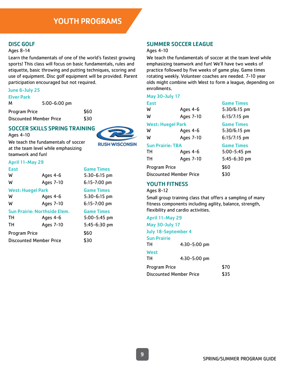# DISC GOLF

#### Ages 8-14

Learn the fundamentals of one of the world's fastest growing sports! This class will focus on basic fundamentals, rules and etiquette, basic throwing and putting techniques, scoring and use of equipment. Disc golf equipment will be provided. Parent participation encouraged but not required.

#### June 6-July 25

| $\sim$<br>r<br>EIVer<br>an :<br>a sa |
|--------------------------------------|
|--------------------------------------|

| м                              | $5:00 - 6:00$ pm |      |
|--------------------------------|------------------|------|
| Program Price                  |                  | \$60 |
| <b>Discounted Member Price</b> |                  | \$30 |

# SOCCER SKILLS SPRING TRAINING

Ages 4-10



We teach the fundamentals of soccer at the team level while emphasizing teamwork and fun!

#### April 11-May 29

| East                           |                                     | <b>Game Times</b> |
|--------------------------------|-------------------------------------|-------------------|
| W                              | Ages 4-6                            | $5:30-6:15$ pm    |
| W                              | Ages 7-10                           | $6:15 - 7:00$ pm  |
| <b>West: Huegel Park</b>       |                                     | <b>Game Times</b> |
| W                              | Ages 4-6                            | $5:30-6:15$ pm    |
| W                              | Ages 7-10                           | $6:15 - 7:00$ pm  |
|                                | <b>Sun Prairie: Northside Elem.</b> | <b>Game Times</b> |
| тн                             | Ages 4-6                            | 5:00-5:45 pm      |
| TН                             | Ages 7-10                           | 5:45-6:30 pm      |
| Program Price                  |                                     | \$60              |
| <b>Discounted Member Price</b> |                                     | \$30              |
|                                |                                     |                   |

# SUMMER SOCCER LEAGUE

#### Ages 4-10

We teach the fundamentals of soccer at the team level while emphasizing teamwork and fun! We'll have two weeks of practice followed by five weeks of game play. Game times rotating weekly. Volunteer coaches are needed. 7-10 year olds might combine with West to form a league, depending on enrollments.

#### May 30-July 17

| <b>East</b>                    |           | <b>Game Times</b> |
|--------------------------------|-----------|-------------------|
| W                              | Ages 4-6  | $5:30/6:15$ pm    |
| W                              | Ages 7-10 | $6:15/7:15$ pm    |
| <b>West: Huegel Park</b>       |           | <b>Game Times</b> |
| W                              | Ages 4-6  | $5:30/6:15$ pm    |
| W                              | Ages 7-10 | $6:15/7:15$ pm    |
| <b>Sun Prairie: TBA</b>        |           | <b>Game Times</b> |
| тн                             | Ages 4-6  | 5:00-5:45 pm      |
| тн                             | Ages 7-10 | 5:45-6:30 pm      |
| Program Price                  |           | \$60              |
| <b>Discounted Member Price</b> |           | \$30              |
|                                |           |                   |

# YOUTH FITNESS

#### Ages 8-12

Small group training class that offers a sampling of many fitness components including agility, balance, strength, flexibility and cardio activities.

| April 11-May 29                |              |      |
|--------------------------------|--------------|------|
| <b>May 30-July 17</b>          |              |      |
| July 18-September 4            |              |      |
| <b>Sun Prairie</b><br>тн       | 4:30-5:00 pm |      |
| West<br>тн                     | 4:30-5:00 pm |      |
| Program Price                  |              | \$70 |
| <b>Discounted Member Price</b> |              | \$35 |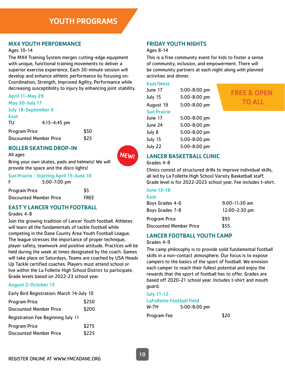# MX4 YOUTH PERFORMANCE

Ages 10-14

The MX4 Training System merges cutting-edge equipment with unique, functional training movements to deliver a superior exercise experience. Each 30-minute session will develop and enhance athletic performance by focusing on: Coordination, Strength, Improved Agility, Performance while decreasing susceptibility to injury by enhancing joint stability.

#### April 11-May 29 May 30-July 17

| <b>MAY JU-JUIY 17</b>   |                  |      |
|-------------------------|------------------|------|
| July 18-September 4     |                  |      |
| East                    |                  |      |
| TU                      | $4:15 - 4:45$ pm |      |
| Program Price           |                  | \$50 |
| Discounted Member Price |                  | \$25 |

# ROLLER SKATING DROP-IN



Bring your own skates, pads and helmets! We will provide the space and the disco lights!

|                      | <b>Sun Prairie - Starting April 15-June 10</b> |             |
|----------------------|------------------------------------------------|-------------|
| F                    | $5:00 - 7:00$ pm                               |             |
| <b>Program Price</b> |                                                | \$5         |
|                      | Discounted Member Price                        | <b>FREE</b> |

# EAST Y LANCER YOUTH FOOTBALL

#### Grades 4-8

All ages

Join the growing tradition of Lancer Youth football. Athletes will learn all the fundamentals of tackle football while competing in the Dane County Area Youth Football League. The league stresses the importance of proper technique, player safety, teamwork and positive attitude. Practices will be held during the week at times designated by the coach. Games will take place on Saturdays. Teams are coached by USA Heads Up Tackle certified coaches. Players must attend school or live within the La Follette High School District to participate. Grade levels based on 2022-23 school year.

# August 2-October 15

|  | Early Bird Registration: March 14-July 10 |  |  |
|--|-------------------------------------------|--|--|
|  |                                           |  |  |
|  |                                           |  |  |

| Program Price                      | \$250 |
|------------------------------------|-------|
| <b>Discounted Member Price</b>     | \$200 |
| Registration Fee Beginning July 11 |       |
| <b>Program Price</b>               | \$275 |
| <b>Discounted Member Price</b>     | \$225 |

# FRIDAY YOUTH NIGHTS

#### Ages 8-14

This is a free community event for kids to foster a sense of community, inclusion, and empowerment. There will be community partners at each night along with planned activities and dinner.

East/West

| June 17            | 5:00-8:00 pm |
|--------------------|--------------|
| July 15            | 5:00-8:00 pm |
| August 19          | 5:00-8:00 pm |
| <b>Sun Prairie</b> |              |
| June 17            | 5:00-8:00 pm |
| June 24            | 5:00-8:00 pm |
| July 8             | 5:00-8:00 pm |
| July 15            | 5:00-8:00 pm |
| July 22            | 5:00-8:00 pm |

# FREE & OPEN TO ALL

# LANCER BASKETBALL CLINIC

#### Grades 4-8

Clinics consist of structured drills to improve individual skills, all led by La Follette High School Varsity Basketball staff. Grade level is for 2022-2023 school year. Fee includes t-shirt.

### June 13-16

| East                           |                 |
|--------------------------------|-----------------|
| Boys Grades 4-6                | $9:00-11:30$ am |
| Boys Grades 7-8                | 12:00-2:30 pm   |
| Program Price                  | \$95            |
| <b>Discounted Member Price</b> | \$55            |

# LANCER FOOTBALL YOUTH CAMP

Grades 4-9

The camp philosophy is to provide solid fundamental football skills in a non-contact atmosphere. Our focus is to expose campers to the basics of the sport of football. We envision each camper to reach their fullest potential and enjoy the rewards that the sport of football has to offer. Grades are based off 2020-21 school year. Includes t-shirt and mouth guard.

July 11-12 LaFollette Football Field W-TH 5:00-8:00 pm

Program Fee \$20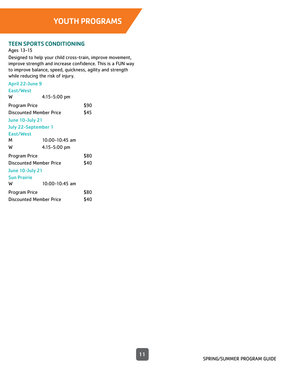# TEEN SPORTS CONDITIONING

Ages 13-15

Designed to help your child cross-train, improve movement, improve strength and increase confidence. This is a FUN way to improve balance, speed, quickness, agility and strength while reducing the risk of injury.

# April 22-June 9

| East/West                      |                    |      |
|--------------------------------|--------------------|------|
| W                              | $4:15 - 5:00$ pm   |      |
| Program Price                  |                    | \$90 |
| <b>Discounted Member Price</b> |                    | \$45 |
| <b>June 10-July 21</b>         |                    |      |
| July 22-September 1            |                    |      |
| East/West                      |                    |      |
| м                              | $10:00 - 10:45$ am |      |
| W                              | 4:15-5:00 pm       |      |
| Program Price                  |                    | \$80 |
| <b>Discounted Member Price</b> |                    | \$40 |
| June 10-July 21                |                    |      |
| <b>Sun Prairie</b>             |                    |      |
| W                              | 10:00-10:45 am     |      |
| Program Price                  |                    | \$80 |
| <b>Discounted Member Price</b> |                    | \$40 |
|                                |                    |      |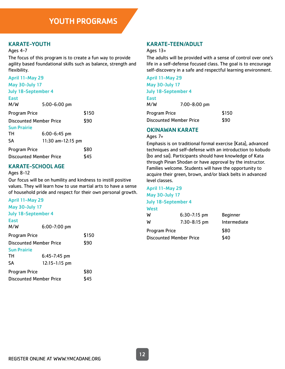# KARATE-YOUTH

#### Ages 4-7

The focus of this program is to create a fun way to provide agility based foundational skills such as balance, strength and flexibility.

| April 11-May 29                |                   |       |  |
|--------------------------------|-------------------|-------|--|
| <b>May 30-July 17</b>          |                   |       |  |
| July 18-September 4            |                   |       |  |
| <b>East</b>                    |                   |       |  |
| M/W                            | $5:00 - 6:00$ pm  |       |  |
| <b>Program Price</b>           |                   | \$150 |  |
| Discounted Member Price        |                   | \$90  |  |
| <b>Sun Prairie</b>             |                   |       |  |
| TН                             | $6:00 - 6:45$ pm  |       |  |
| <b>SA</b>                      | 11:30 am-12:15 pm |       |  |
| <b>Program Price</b>           |                   | \$80  |  |
| <b>Discounted Member Price</b> |                   | \$45  |  |

# KARATE-SCHOOL AGE

#### Ages 8-12

Our focus will be on humility and kindness to instill positive values. They will learn how to use martial arts to have a sense of household pride and respect for their own personal growth.

| April 11-May 29                |       |
|--------------------------------|-------|
| <b>May 30-July 17</b>          |       |
| <b>July 18-September 4</b>     |       |
| $6:00 - 7:00$ pm               |       |
|                                | \$150 |
| Discounted Member Price        | \$90  |
|                                |       |
| $6:45 - 7:45$ pm               |       |
| $12:15 - 1:15$ pm              |       |
|                                | \$80  |
| <b>Discounted Member Price</b> |       |
|                                |       |

# KARATE-TEEN/ADULT

#### Ages 13+

The adults will be provided with a sense of control over one's life in a self-defense focused class. The goal is to encourage self-discovery in a safe and respectful learning environment.

| April 11-May 29            |                                |       |
|----------------------------|--------------------------------|-------|
| <b>May 30-July 17</b>      |                                |       |
| <b>July 18-September 4</b> |                                |       |
| <b>East</b>                |                                |       |
| M/W                        | 7:00-8:00 pm                   |       |
| <b>Program Price</b>       |                                | \$150 |
|                            | <b>Discounted Member Price</b> | \$90  |

# OKINAWAN KARATE

#### Ages 7+

Emphasis is on traditional formal exercise (Kata), advanced techniques and self-defense with an introduction to kobudo (bo and sai). Participants should have knowledge of Kata through Pinan Shodan or have approval by the instructor. Families welcome. Students will have the opportunity to acquire their green, brown, and/or black belts in advanced level classes.

April 11-May 29 May 30-July 17

#### July 18-September 4

| ×<br>ш |
|--------|
| ____   |

| W                              | $6:30-7:15$ pm   | <b>Beginner</b> |
|--------------------------------|------------------|-----------------|
| W                              | $7:30 - 8:15$ pm | Intermediate    |
| Program Price                  |                  | \$80            |
| <b>Discounted Member Price</b> |                  | \$40            |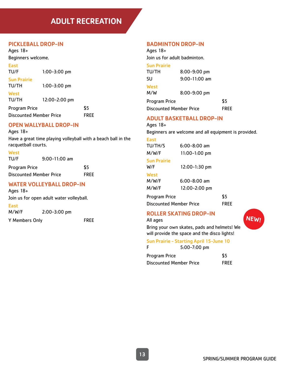# ADULT RECREATION

# PICKLEBALL DROP-IN

Ages 18+ Beginners welcome.

East

TU/F 1:00-3:00 pm

Sun Prairie TU/TH 1:00-3:00 pm

**West** 

TU/TH 12:00-2:00 pm

Program Price \$5 Discounted Member Price FREE

# OPEN WALLYBALL DROP-IN

Ages 18+

Have a great time playing volleyball with a beach ball in the racquetball courts.

**West** 

TU/F 9:00-11:00 am

| Program Price                  | \$5         |
|--------------------------------|-------------|
| <b>Discounted Member Price</b> | <b>FREE</b> |

# WATER VOLLEYBALL DROP-IN

Ages 18+

Join us for open adult water volleyball.

East M/W/F 2:00-3:00 pm

Y Members Only FREE

# BADMINTON DROP-IN

Ages 18+ Join us for adult badminton.

# Sun Prairie

TU/TH 8:00-9:00 pm SU 9:00-11:00 am **West** M/W 8:00-9:00 pm Program Price \$5 Discounted Member Price FREE

# ADULT BASKETBALL DROP-IN

#### Ages 18+

Beginners are welcome and all equipment is provided.

#### East

TU/TH/S 6:00-8:00 am M/W/F 11:00-1:00 pm Sun Prairie W/F 12:00-1:30 pm **West** M/W/F 6:00-8:00 am M/W/F 12:00-2:00 pm

Program Price \$5 Discounted Member Price FREE

# ROLLER SKATING DROP-IN

All ages

Bring your own skates, pads and helmets! We will provide the space and the disco lights!

# Sun Prairie - Starting April 15-June 10

| F                       | $5:00 - 7:00$ pm |             |
|-------------------------|------------------|-------------|
| Program Price           |                  | \$5         |
| Discounted Member Price |                  | <b>FREE</b> |

**NEW!**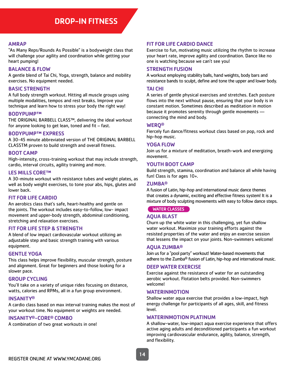#### AMRAP

"As Many Reps/Rounds As Possible" is a bodyweight class that will challenge your agility and coordination while getting your heart pumping!

#### BALANCE & FLOW

A gentle blend of Tai Chi, Yoga, strength, balance and mobility exercises. No equipment needed.

#### BASIC STRENGTH

A full body strength workout. Hitting all muscle groups using multiple modalities, tempos and rest breaks. Improve your technique and learn how to stress your body the right way!

#### BODYPUMP™

THE ORIGINAL BARBELL CLASS™, delivering the ideal workout for anyone looking to get lean, toned and fit – fast.

#### BODYPUMP™ EXPRESS

A 30-45 minute abbreviated version of THE ORIGINAL BARBELL CLASSTM proven to build strength and overall fitness.

#### BOOT CAMP

High-intensity, cross-training workout that may include strength, cardio, interval circuits, agility training and more.

#### LES MILLS CORE™

A 30-minute workout with resistance tubes and weight plates, as well as body weight exercises, to tone your abs, hips, glutes and lower back.

#### FIT FOR LIFE CARDIO

An aerobics class that's safe, heart-healthy and gentle on the joints. The workout includes easy-to-follow, low- impact movement and upper-body strength, abdominal conditioning, stretching and relaxation exercises.

#### FIT FOR LIFE STEP & STRENGTH

A blend of low impact cardiovascular workout utilizing an adjustable step and basic strength training with various equipment.

#### GENTLE YOGA

This class helps improve flexibility, muscular strength, posture and alignment. Great for beginners and those looking for a slower pace.

#### GROUP CYCLING

You'll take on a variety of unique rides focusing on distance, watts, calories and RPMs, all in a fun group environment.

#### **INSANITY®**

A cardio class based on max interval training makes the most of your workout time. No equipment or weights are needed.

#### INSANITY®-CORE® COMBO

A combination of two great workouts in one!

#### FIT FOR LIFE CARDIO DANCE

Exercise to fun, motivating music utilizing the rhythm to increase your heart rate, improve agility and coordination. Dance like no one is watching because we can't see you!

#### STRENGTH FUSION

A workout employing stability balls, hand weights, body bars and resistance bands to sculpt, define and tone the upper and lower body.

#### TAI CHI

A series of gentle physical exercises and stretches. Each posture flows into the next without pause, ensuring that your body is in constant motion. Sometimes described as meditation in motion because it promotes serenity through gentle movements connecting the mind and body.

#### WERQ®

Fiercely fun dance/fitness workout class based on pop, rock and hip-hop music.

#### YOGA FLOW

Join us for a mixture of meditation, breath-work and energizing movement.

#### YOUTH BOOT CAMP

Build strength, stamina, coordination and balance all while having fun! Class is for ages 10+.

#### ZUMBA®

A fusion of Latin, hip-hop and international music dance themes that creates a dynamic, exciting and effective fitness system! It is a mixture of body sculpting movements with easy to follow dance steps.

WATER CLASSES

#### AQUA BLAST

Churn up the white water in this challenging, yet fun shallow water workout. Maximize your training efforts against the resisted properties of the water and enjoy an exercise session that lessens the impact on your joints. Non-swimmers welcome!

#### AQUA ZUMBA®

Join us for a "pool party" workout! Water-based movements that adhere to the Zumba® fusion of Latin, hip-hop and international music.

#### DEEP WATER EXERCISE

Exercise against the resistance of water for an outstanding aerobic workout. Flotation belts provided. Non-swimmers welcome!

#### WATERINMOTION

Shallow water aqua exercise that provides a low-impact, high energy challenge for participants of all ages, skill, and fitness level.

#### WATERINMOTION PLATINUM

A shallow-water, low-impact aqua exercise experience that offers active aging adults and deconditioned participants a fun workout improving cardiovascular endurance, agility, balance, strength, and flexibility.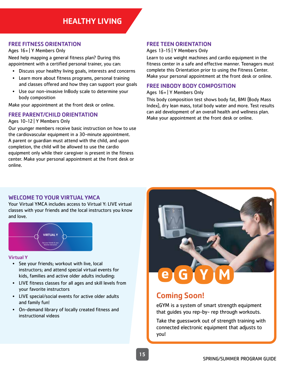# FREE FITNESS ORIENTATION

Ages 16+ | Y Members Only

Need help mapping a general fitness plan? During this appointment with a certified personal trainer, you can:

- Discuss your healthy living goals, interests and concerns
- Learn more about fitness programs, personal training and classes offered and how they can support your goals
- Use our non-invasive InBody scale to determine your body composition

Make your appointment at the front desk or online.

# FREE PARENT/CHILD ORIENTATION

#### Ages 10-12 | Y Members Only

Our younger members receive basic instruction on how to use the cardiovascular equipment in a 30-minute appointment. A parent or guardian must attend with the child, and upon completion, the child will be allowed to use the cardio equipment only while their caregiver is present in the fitness center. Make your personal appointment at the front desk or online.

# FREE TEEN ORIENTATION

Ages 13-15 | Y Members Only

Learn to use weight machines and cardio equipment in the fitness center in a safe and effective manner. Teenagers must complete this Orientation prior to using the Fitness Center. Make your personal appointment at the front desk or online.

### FREE INBODY BODY COMPOSITION

Ages 16+ | Y Members Only

This body composition test shows body fat, BMI (Body Mass Index), dry lean mass, total body water and more. Test results can aid development of an overall health and wellness plan. Make your appointment at the front desk or online.

# WELCOME TO YOUR VIRTUAL YMCA WELCOME TO YOUR VIRTUAL YMCA

Your Virtual YMCA includes access to Virtual Y: LIVE virtual classes with your friends and the local instructor classes with your friends and the local instructors you know and love; PLUS, unlimited access to cutting-edge, and love. classes with your friends and the local ins



# Virtual Y Virtual Y

- See your friends; workout with live, local instructors; and attend special virtual events for  $\blacksquare$ kids, families and active older adults including:
- LIVE fitness classes for all ages and skill levels from LIVE fitness classes for all ages and skill levels from your favorite instructors  $LIVE$  fithess cias • Fitness First: A wide variety of classes and
- $\cdot$  LIVE special/social events for active older adults and family fun! • Live special/social events for ac instructors
- On-demand library of locally created fitness and instructional videos  $V = V \cdot V \cdot \frac{1}{2}$  and  $V = V \cdot V \cdot \frac{1}{2}$  are available right at your final  $V \cdot V \cdot \frac{1}{2}$



# **Pring Soon! Coming Soon!**

**eGym Essential**

eGYM is a system of smart strength equipment  $t$ hat quides vou ren-by- ren through wo that guides you rep-by- rep through workouts.

Learn more and get started at: ymcadane.org/virtual-ymca If your membership is on hold or you are having problems Take the guesswork out of strength training with **CHOOSE YOUR SUBSCRIPTION PLAN:** connected electronic equipment that adjusts to you!

 $S_{\rm eff}$  is the single-single-single-single-single-single-single-single-single-single-single-single-single-single-single-single-single-single-single-single-single-single-single-single-single-single-single-single-single-si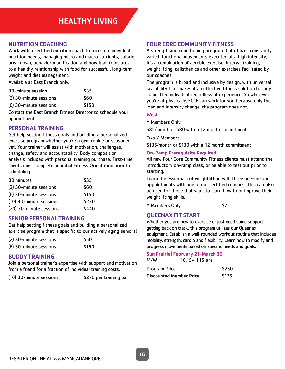# NUTRITION COACHING

Work with a certified nutrition coach to focus on individual nutrition needs, managing micro and macro nutrients, calorie breakdown, behavior modification and how it all translates to a healthy relationship with food for successful, long-term weight and diet management.

Available at East Branch only.

| 30-minute session      | \$35  |
|------------------------|-------|
| (2) 30-minute sessions | \$60  |
| (6) 30-minute sessions | \$150 |

Contact the East Branch Fitness Director to schedule your appointment.

# PERSONAL TRAINING

Get help setting fitness goals and building a personalized exercise program whether you're a gym rookie or seasoned vet. Your trainer will assist with motivation, challenges, change, safety and accountability. Body composition analysis included with personal training purchase. First-time clients must complete an initial Fitness Orientation prior to scheduling.

| 30 minutes              | \$35  |
|-------------------------|-------|
| (2) 30-minute sessions  | \$60  |
| (6) 30-minute sessions  | \$150 |
| (10) 30-minute sessions | \$230 |
| (20) 30-minute sessions | \$440 |

# SENIOR PERSONAL TRAINING

Get help setting fitness goals and building a personalized exercise program that is specific to our actively aging seniors!

| (2) 30-minute sessions | \$50  |
|------------------------|-------|
| (6) 30-minute sessions | \$150 |

# BUDDY TRAINING

Join a personal trainer's expertise with support and motivation from a friend for a fraction of individual training costs.

(10) 30-minute sessions \$270 per training pair

# FOUR CORE COMMUNITY FITNESS

A strength and conditioning program that utilizes constantly varied, functional movements executed at a high intensity. It's a combination of aerobic exercise, interval training, weightlifting, calisthenics and other exercises facilitated by our coaches.

The program is broad and inclusive by design, with universal scalability that makes it an effective fitness solution for any committed individual regardless of experience. So wherever you're at physically, FCCF can work for you because only the load and intensity change; the program does not.

#### **West**

Y Members Only

\$85/month or \$80 with a 12 month commitment

Two Y Members

\$135/month or \$130 with a 12 month commitment

#### On-Ramp Prerequisite Required

All new Four Core Community Fitness clients must attend the introductory on-ramp class, or be able to test out prior to starting.

Learn the essentials of weightlifting with three one-on-one appointments with one of our certified coaches. This can also be used for those that want to learn how to or improve their weightlifting skills.

Y Members Only \$75

# QUEENAX FIT START

Whether you are new to exercise or just need some support getting back on track, this program utilizes our Queenax equipment. Establish a well-rounded workout routine that includes mobility, strength, cardio and flexibility. Learn how to modify and progress movements based on specific needs and goals.

#### Sun Prairie | February 21-March 30

| M/W<br>$10:15 - 11:15$ am |
|---------------------------|
|---------------------------|

| Program Price           | \$250 |
|-------------------------|-------|
| Discounted Member Price | \$125 |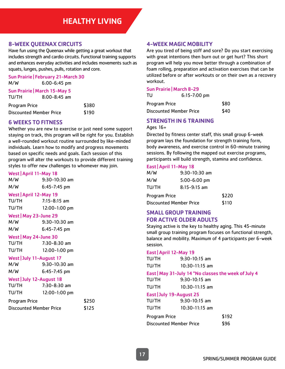# 8-WEEK QUEENAX CIRCUITS

Have fun using the Queenax while getting a great workout that includes strength and cardio circuits. Functional training supports and enhances everyday activities and includes movements such as squats, lunges, pushes, pulls, rotation and core.

Sun Prairie | February 21-March 30 M/W 6:00-6:45 pm

|               | <b>Sun Prairie   March 15-May 5</b> |       |
|---------------|-------------------------------------|-------|
| TU/TH         | $8:00 - 8:45$ am                    |       |
| Program Price |                                     | \$380 |
|               | Discounted Member Price             | \$190 |

# 6 WEEKS TO FITNESS

Whether you are new to exercise or just need some support staying on track, this program will be right for you. Establish a well-rounded workout routine surrounded by like-minded individuals. Learn how to modify and progress movements based on specific needs and goals. Each session of this program will alter the workouts to provide different training styles to offer new challenges to whomever may join.

#### West | April 11-May 18

M/W 9:30-10:30 am M/W 6:45-7:45 pm

#### West | April 12-May 19

| TU/TH | $7:15 - 8:15$ am |
|-------|------------------|
| TU/TH | $12:00-1:00$ pm  |

#### West | May 23-June 29

M/W 9:30-10:30 am M/W 6:45-7:45 pm

West | May 24-June 30 TU/TH 7:30-8:30 am

TU/TH 12:00-1:00 pm

|           | West July 11-August 17 |
|-----------|------------------------|
| 88 / 1. I | הר הו הר ה             |

| M/W | $9:30-10:30$ am  |
|-----|------------------|
| M/W | $6:45 - 7:45$ pm |

#### West | July 12-August 18

| TU/TH                          | $7:30-8:30$ am  |       |
|--------------------------------|-----------------|-------|
| TU/TH                          | $12:00-1:00$ pm |       |
| <b>Program Price</b>           |                 | \$250 |
| <b>Discounted Member Price</b> |                 | \$125 |

# 4-WEEK MAGIC MOBILITY

Are you tired of being stiff and sore? Do you start exercising with great intentions then burn out or get hurt? This short program will help you move better through a combination of foam rolling, preparation and activation exercises that can be utilized before or after workouts or on their own as a recovery workout.

#### Sun Prairie | March 8-29

| TU                      | $6:15 - 7:00$ pm |      |
|-------------------------|------------------|------|
| Program Price           |                  | \$80 |
| Discounted Member Price |                  | \$40 |

# STRENGTH IN 6 TRAINING

#### Ages 16+

Directed by fitness center staff, this small group 6-week program lays the foundation for strength training form, body awareness, and exercise control in 60-minute training sessions. By following the mapped out exercise programs, participants will build strength, stamina and confidence.

#### East | April 11-May 18

| M/W                            | $9:30-10:30$ am  |       |
|--------------------------------|------------------|-------|
| M/W                            | $5:00 - 6:00$ pm |       |
| TU/TH                          | $8:15 - 9:15$ am |       |
| Program Price                  |                  | \$220 |
| <b>Discounted Member Price</b> |                  | \$110 |

# SMALL GROUP TRAINING FOR ACTIVE OLDER ADULTS

Staying active is the key to healthy aging. This 45-minute small group training program focuses on functional strength, balance and mobility. Maximum of 4 participants per 6-week session.

#### East | April 12-May 19

| TU/TH | $9:30-10:15$ am  |
|-------|------------------|
| TU/TH | $10:30-11:15$ am |

#### East | May 31-July 14 \*No classes the week of July 4

| TU/TH | $9:30-10:15$ am  |
|-------|------------------|
| TU/TH | $10:30-11:15$ am |

#### East | July 19-August 25

| TU/TH                   | $9:30-10:15$ am  |       |
|-------------------------|------------------|-------|
| TU/TH                   | $10:30-11:15$ am |       |
| Program Price           |                  | \$192 |
| Discounted Member Price |                  | \$96  |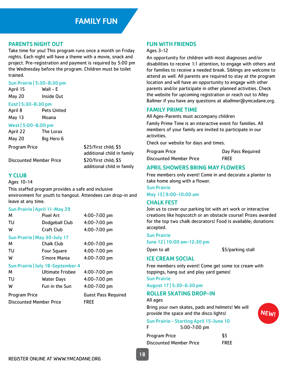# PARENTS NIGHT OUT

Take time for you! This program runs once a month on Friday nights. Each night will have a theme with a movie, snack and project. Pre-registration and payment is required by 5:00 pm the Wednesday before the program. Children must be toilet trained.

#### Sun Prairie | 5:30-8:30 pm

April 15 Wall - E May 20 Inside Out

# East | 5:30-8:30 pm

April 8 Pets United May 13 Moana

#### West | 5:00-8:00 pm

April 22 The Lorax May 20 Big Hero 6

Program Price \$25/first child; \$5 additional child in family additional child in family

Discounted Member Price \$20/first child; \$5

# Y CLUB

#### Ages 10-14

This staffed program provides a safe and inclusive environment for youth to hangout. Attendees can drop-in and leave at any time.

#### Sun Prairie | April 11-May 29

| м                                 | <b>Pixel Art</b>        | 4:00-7:00 pm     |  |
|-----------------------------------|-------------------------|------------------|--|
| TU                                | Dodgeball Club          | 4:00-7:00 pm     |  |
| W                                 | Craft Club              | 4:00-7:00 pm     |  |
| Sun Prairie   May 30-July 17      |                         |                  |  |
| м                                 | <b>Chalk Club</b>       | 4:00-7:00 pm     |  |
| TU                                | <b>Four Square</b>      | 4:00-7:00 pm     |  |
| W                                 | S'more Mania            | 4:00-7:00 pm     |  |
| Sun Prairie   July 18-September 4 |                         |                  |  |
| M                                 | <b>Ultimate Frisbee</b> | $4:00 - 7:00$ pm |  |

| TU                             | <b>Water Days</b> | $4:00 - 7:00$ pm           |
|--------------------------------|-------------------|----------------------------|
| W                              | Fun in the Sun    | $4:00 - 7:00$ pm           |
| <b>Program Price</b>           |                   | <b>Guest Pass Required</b> |
| <b>Discounted Member Price</b> |                   | <b>FREE</b>                |
|                                |                   |                            |

# FUN WITH FRIENDS

#### Ages 3-12

An opportunity for children with most diagnoses and/or disabilities to receive 1:1 attention, to engage with others and for families to receive a needed break. Siblings are welcome to attend as well. All parents are required to stay at the program location and will have an opportunity to engage with other parents and/or participate in other planned activities. Check the website for upcoming registration or reach out to Alley Ballmer if you have any questions at aballmer@ymcadane.org.

# FAMILY PRIME TIME

All Ages-Parents must accompany children

Family Prime Time is an interactive event for families. All members of your family are invited to participate in our activities.

Check our website for days and times.

| <b>Program Price</b>           | Day Pass Required |
|--------------------------------|-------------------|
| <b>Discounted Member Price</b> | <b>FREE</b>       |

# APRIL SHOWERS BRING MAY FLOWERS

Free members only event! Come in and decorate a planter to take home along with a flower.

Sun Prairie

May 13 | 9:00-10:00 am

# CHALK FEST

Join us to cover our parking lot with art work or interactive creations like hopscotch or an obstacle course! Prizes awarded for the top two chalk decorators! Food is available; donations accepted.

#### Sun Prairie

June 12 | 10:00 am-12:30 pm

Open to all \$5/parking stall

NEW!

# ICE CREAM SOCIAL

Free members only event! Come get some ice cream with toppings, hang out and play yard games!

Sun Prairie

August 17 | 5:30-6:30 pm

# ROLLER SKATING DROP-IN

#### All ages

Bring your own skates, pads and helmets! We will provide the space and the disco lights!

# Sun Prairie - Starting April 15-June 10

| $5:00 - 7:00$ pm |
|------------------|
|                  |

| Program Price                  | \$5         |
|--------------------------------|-------------|
| <b>Discounted Member Price</b> | <b>FREE</b> |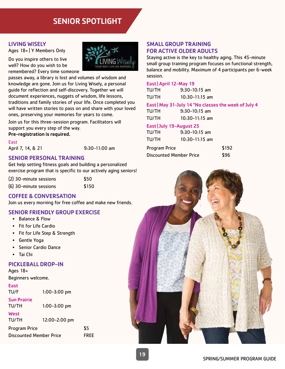# SENIOR SPOTLIGHT

# LIVING WISELY

Ages 18+ | Y Members Only

Do you inspire others to live well? How do you wish to be remembered? Every time someone



passes away, a library is lost and volumes of wisdom and knowledge are gone. Join us for Living Wisely, a personal guide for reflection and self-discovery. Together we will document experiences, nuggets of wisdom, life lessons, traditions and family stories of your life. Once completed you will have written stories to pass on and share with your loved ones, preserving your memories for years to come.

Join us for this three-session program. Facilitators will support you every step of the way.

Pre-registration is required.

East

April 7, 14, & 21 9:30-11:00 am

# SENIOR PERSONAL TRAINING

Get help setting fitness goals and building a personalized exercise program that is specific to our actively aging seniors!

| (2) 30-minute sessions | \$50  |
|------------------------|-------|
| (6) 30-minute sessions | \$150 |

# COFFEE & CONVERSATION

Join us every morning for free coffee and make new friends.

# SENIOR FRIENDLY GROUP EXERCISE

- Balance & Flow
- Fit for Life Cardio
- Fit for Life Step & Strength
- Gentle Yoga
- Senior Cardio Dance
- Tai Chi

# PICKLEBALL DROP-IN

Ages 18+ Beginners welcome.

# East

TU/F 1:00-3:00 pm

Sun Prairie

| TU/TH |  |
|-------|--|

 $1:00 - 3:00$  pm

**West** TU/TH 12:00-2:00 pm Program Price \$5 Discounted Member Price FREE

SMALL GROUP TRAINING FOR ACTIVE OLDER ADULTS

Staying active is the key to healthy aging. This 45-minute small group training program focuses on functional strength, balance and mobility. Maximum of 4 participants per 6-week session.

#### East | April 12-May 19

| TU/TH     | $9:30-10:15$ am  |
|-----------|------------------|
| TU/TH     | $10:30-11:15$ am |
| - - - - - | -----------      |

East | May 31-July 14 \*No classes the week of July 4

| TU/TH | $9:30-10:15$ am  |  |
|-------|------------------|--|
| TU/TH | $10:30-11:15$ am |  |

# East | July 19-August 25

| TU/TH                          | $9:30-10:15$ am  |       |
|--------------------------------|------------------|-------|
| TU/TH                          | $10:30-11:15$ am |       |
| Program Price                  |                  | \$192 |
| <b>Discounted Member Price</b> |                  | \$96  |